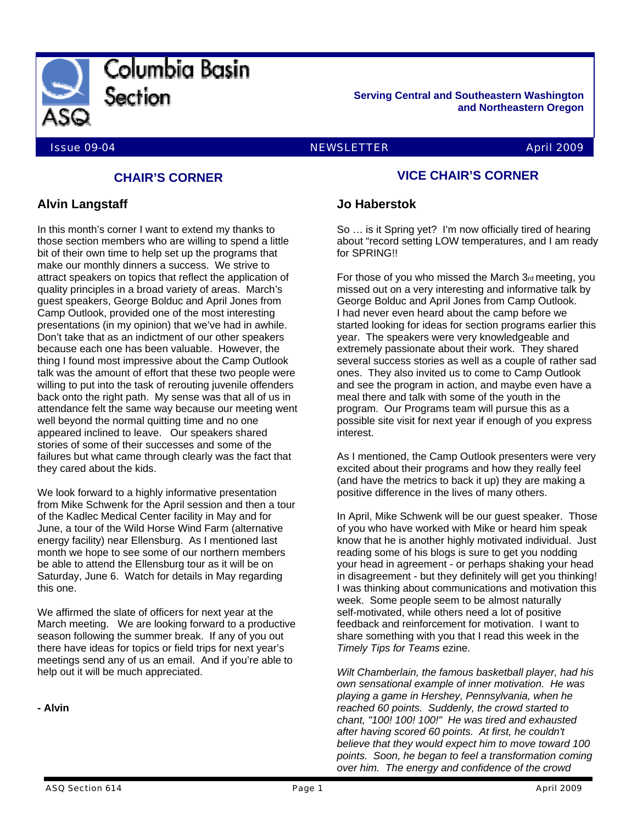

**Serving Central and Southeastern Washington and Northeastern Oregon** 

#### Issue 09-04 NEWSLETTER April 2009

# **CHAIR'S CORNER**

## **Alvin Langstaff**

In this month's corner I want to extend my thanks to those section members who are willing to spend a little bit of their own time to help set up the programs that make our monthly dinners a success. We strive to attract speakers on topics that reflect the application of quality principles in a broad variety of areas. March's guest speakers, George Bolduc and April Jones from Camp Outlook, provided one of the most interesting presentations (in my opinion) that we've had in awhile. Don't take that as an indictment of our other speakers because each one has been valuable. However, the thing I found most impressive about the Camp Outlook talk was the amount of effort that these two people were willing to put into the task of rerouting juvenile offenders back onto the right path. My sense was that all of us in attendance felt the same way because our meeting went well beyond the normal quitting time and no one appeared inclined to leave. Our speakers shared stories of some of their successes and some of the failures but what came through clearly was the fact that they cared about the kids.

We look forward to a highly informative presentation from Mike Schwenk for the April session and then a tour of the Kadlec Medical Center facility in May and for June, a tour of the Wild Horse Wind Farm (alternative energy facility) near Ellensburg. As I mentioned last month we hope to see some of our northern members be able to attend the Ellensburg tour as it will be on Saturday, June 6. Watch for details in May regarding this one.

We affirmed the slate of officers for next year at the March meeting. We are looking forward to a productive season following the summer break. If any of you out there have ideas for topics or field trips for next year's meetings send any of us an email. And if you're able to help out it will be much appreciated.

**- Alvin** 

## **VICE CHAIR'S CORNER**

### **Jo Haberstok**

So … is it Spring yet? I'm now officially tired of hearing about "record setting LOW temperatures, and I am ready for SPRING!!

For those of you who missed the March 3rd meeting, you missed out on a very interesting and informative talk by George Bolduc and April Jones from Camp Outlook. I had never even heard about the camp before we started looking for ideas for section programs earlier this year. The speakers were very knowledgeable and extremely passionate about their work. They shared several success stories as well as a couple of rather sad ones. They also invited us to come to Camp Outlook and see the program in action, and maybe even have a meal there and talk with some of the youth in the program. Our Programs team will pursue this as a possible site visit for next year if enough of you express interest.

As I mentioned, the Camp Outlook presenters were very excited about their programs and how they really feel (and have the metrics to back it up) they are making a positive difference in the lives of many others.

In April, Mike Schwenk will be our guest speaker. Those of you who have worked with Mike or heard him speak know that he is another highly motivated individual. Just reading some of his blogs is sure to get you nodding your head in agreement - or perhaps shaking your head in disagreement - but they definitely will get you thinking! I was thinking about communications and motivation this week. Some people seem to be almost naturally self-motivated, while others need a lot of positive feedback and reinforcement for motivation. I want to share something with you that I read this week in the *Timely Tips for Teams* ezine.

*Wilt Chamberlain, the famous basketball player, had his own sensational example of inner motivation. He was playing a game in Hershey, Pennsylvania, when he reached 60 points. Suddenly, the crowd started to chant, "100! 100! 100!" He was tired and exhausted after having scored 60 points. At first, he couldn't believe that they would expect him to move toward 100 points. Soon, he began to feel a transformation coming over him. The energy and confidence of the crowd*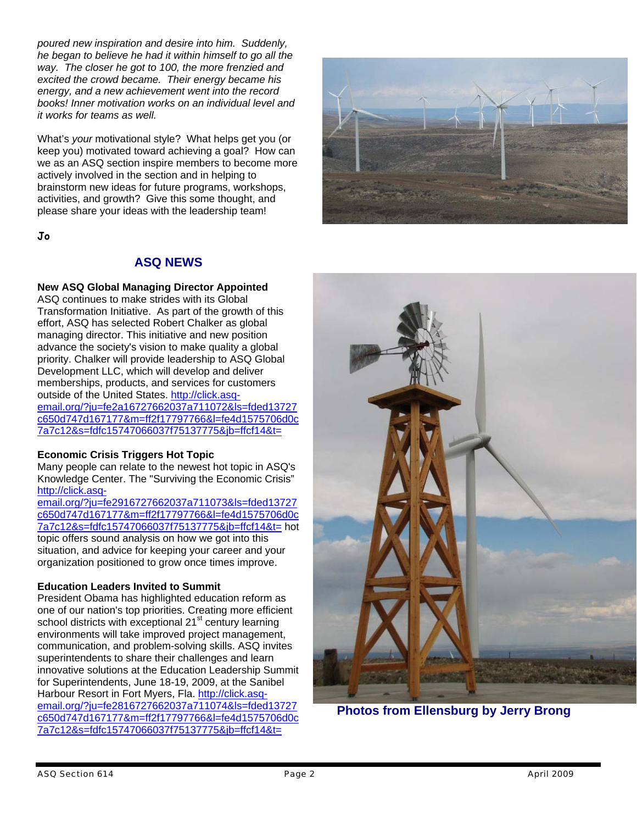*poured new inspiration and desire into him. Suddenly, he began to believe he had it within himself to go all the way. The closer he got to 100, the more frenzied and excited the crowd became. Their energy became his energy, and a new achievement went into the record books! Inner motivation works on an individual level and it works for teams as well.*

What's *your* motivational style? What helps get you (or keep you) motivated toward achieving a goal? How can we as an ASQ section inspire members to become more actively involved in the section and in helping to brainstorm new ideas for future programs, workshops, activities, and growth? Give this some thought, and please share your ideas with the leadership team!

**Jo** 

# **ASQ NEWS**

## **New ASQ Global Managing Director Appointed**

ASQ continues to make strides with its Global Transformation Initiative. As part of the growth of this effort, ASQ has selected Robert Chalker as global managing director. This initiative and new position advance the society's vision to make quality a global priority. Chalker will provide leadership to ASQ Global Development LLC, which will develop and deliver memberships, products, and services for customers outside of the United States. http://click.asqemail.org/?ju=fe2a16727662037a711072&ls=fded13727 c650d747d167177&m=ff2f17797766&l=fe4d1575706d0c 7a7c12&s=fdfc15747066037f75137775&jb=ffcf14&t=

### **Economic Crisis Triggers Hot Topic**

Many people can relate to the newest hot topic in ASQ's Knowledge Center. The "Surviving the Economic Crisis" http://click.asq-

email.org/?ju=fe2916727662037a711073&ls=fded13727 c650d747d167177&m=ff2f17797766&l=fe4d1575706d0c 7a7c12&s=fdfc15747066037f75137775&jb=ffcf14&t= hot topic offers sound analysis on how we got into this situation, and advice for keeping your career and your organization positioned to grow once times improve.

## **Education Leaders Invited to Summit**

President Obama has highlighted education reform as one of our nation's top priorities. Creating more efficient school districts with exceptional 21<sup>st</sup> century learning environments will take improved project management, communication, and problem-solving skills. ASQ invites superintendents to share their challenges and learn innovative solutions at the Education Leadership Summit for Superintendents, June 18-19, 2009, at the Sanibel Harbour Resort in Fort Myers, Fla. http://click.asqemail.org/?ju=fe2816727662037a711074&ls=fded13727 c650d747d167177&m=ff2f17797766&l=fe4d1575706d0c 7a7c12&s=fdfc15747066037f75137775&jb=ffcf14&t=





**Photos from Ellensburg by Jerry Brong**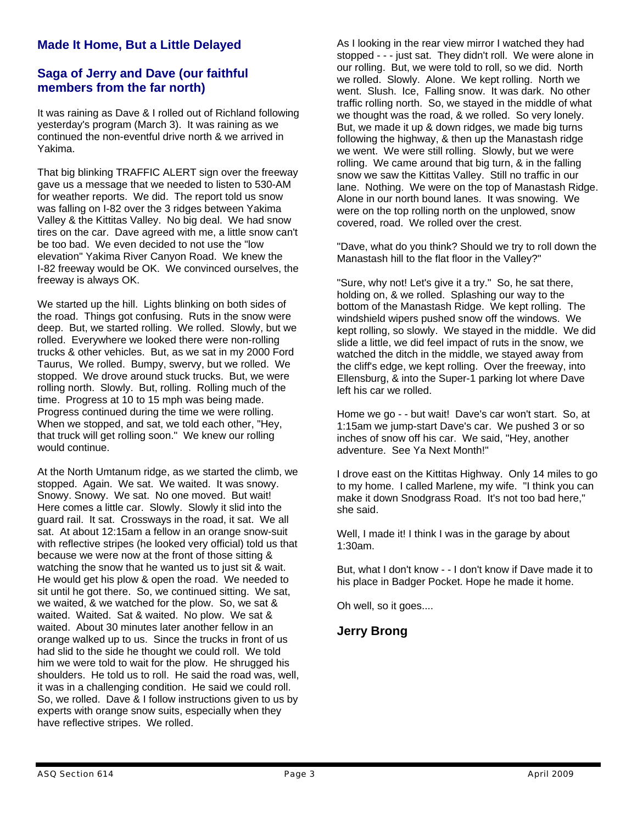# **Made It Home, But a Little Delayed**

## **Saga of Jerry and Dave (our faithful members from the far north)**

It was raining as Dave & I rolled out of Richland following yesterday's program (March 3). It was raining as we continued the non-eventful drive north & we arrived in Yakima.

That big blinking TRAFFIC ALERT sign over the freeway gave us a message that we needed to listen to 530-AM for weather reports. We did. The report told us snow was falling on I-82 over the 3 ridges between Yakima Valley & the Kittitas Valley. No big deal. We had snow tires on the car. Dave agreed with me, a little snow can't be too bad. We even decided to not use the "low elevation" Yakima River Canyon Road. We knew the I-82 freeway would be OK. We convinced ourselves, the freeway is always OK.

We started up the hill. Lights blinking on both sides of the road. Things got confusing. Ruts in the snow were deep. But, we started rolling. We rolled. Slowly, but we rolled. Everywhere we looked there were non-rolling trucks & other vehicles. But, as we sat in my 2000 Ford Taurus, We rolled. Bumpy, swervy, but we rolled. We stopped. We drove around stuck trucks. But, we were rolling north. Slowly. But, rolling. Rolling much of the time. Progress at 10 to 15 mph was being made. Progress continued during the time we were rolling. When we stopped, and sat, we told each other, "Hey, that truck will get rolling soon." We knew our rolling would continue.

At the North Umtanum ridge, as we started the climb, we stopped. Again. We sat. We waited. It was snowy. Snowy. Snowy. We sat. No one moved. But wait! Here comes a little car. Slowly. Slowly it slid into the guard rail. It sat. Crossways in the road, it sat. We all sat. At about 12:15am a fellow in an orange snow-suit with reflective stripes (he looked very official) told us that because we were now at the front of those sitting & watching the snow that he wanted us to just sit & wait. He would get his plow & open the road. We needed to sit until he got there. So, we continued sitting. We sat, we waited, & we watched for the plow. So, we sat & waited. Waited. Sat & waited. No plow. We sat & waited. About 30 minutes later another fellow in an orange walked up to us. Since the trucks in front of us had slid to the side he thought we could roll. We told him we were told to wait for the plow. He shrugged his shoulders. He told us to roll. He said the road was, well, it was in a challenging condition. He said we could roll. So, we rolled. Dave & I follow instructions given to us by experts with orange snow suits, especially when they have reflective stripes. We rolled.

As I looking in the rear view mirror I watched they had stopped - - - just sat. They didn't roll. We were alone in our rolling. But, we were told to roll, so we did. North we rolled. Slowly. Alone. We kept rolling. North we went. Slush. Ice, Falling snow. It was dark. No other traffic rolling north. So, we stayed in the middle of what we thought was the road, & we rolled. So very lonely. But, we made it up & down ridges, we made big turns following the highway, & then up the Manastash ridge we went. We were still rolling. Slowly, but we were rolling. We came around that big turn, & in the falling snow we saw the Kittitas Valley. Still no traffic in our lane. Nothing. We were on the top of Manastash Ridge. Alone in our north bound lanes. It was snowing. We were on the top rolling north on the unplowed, snow covered, road. We rolled over the crest.

"Dave, what do you think? Should we try to roll down the Manastash hill to the flat floor in the Valley?"

"Sure, why not! Let's give it a try." So, he sat there, holding on, & we rolled. Splashing our way to the bottom of the Manastash Ridge. We kept rolling. The windshield wipers pushed snow off the windows. We kept rolling, so slowly. We stayed in the middle. We did slide a little, we did feel impact of ruts in the snow, we watched the ditch in the middle, we stayed away from the cliff's edge, we kept rolling. Over the freeway, into Ellensburg, & into the Super-1 parking lot where Dave left his car we rolled.

Home we go - - but wait! Dave's car won't start. So, at 1:15am we jump-start Dave's car. We pushed 3 or so inches of snow off his car. We said, "Hey, another adventure. See Ya Next Month!"

I drove east on the Kittitas Highway. Only 14 miles to go to my home. I called Marlene, my wife. "I think you can make it down Snodgrass Road. It's not too bad here," she said.

Well, I made it! I think I was in the garage by about 1:30am.

But, what I don't know - - I don't know if Dave made it to his place in Badger Pocket. Hope he made it home.

Oh well, so it goes....

**Jerry Brong**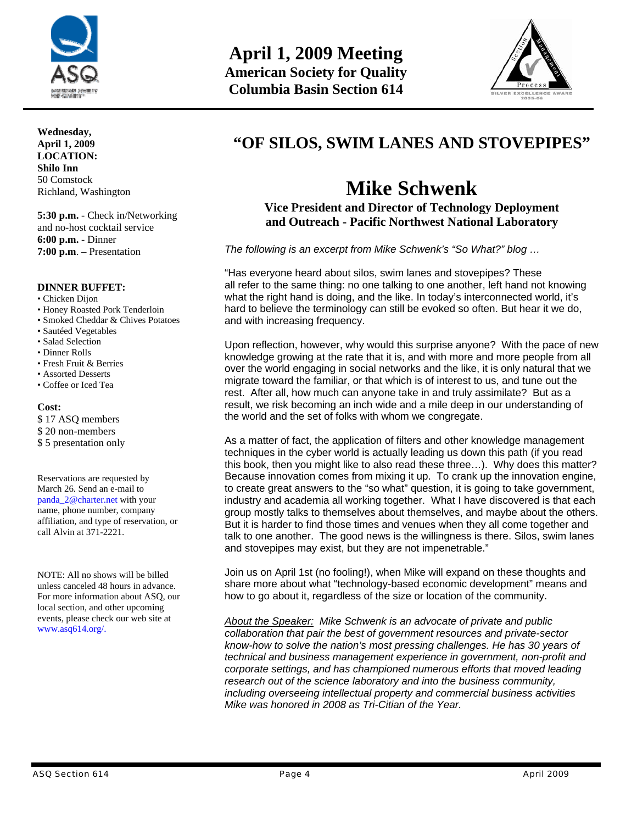

**Wednesday, April 1, 2009 LOCATION: Shilo Inn**  50 Comstock Richland, Washington

**5:30 p.m.** - Check in/Networking and no-host cocktail service **6:00 p.m.** - Dinner **7:00 p.m**. – Presentation

#### **DINNER BUFFET:**

- Chicken Dijon
- Honey Roasted Pork Tenderloin
- Smoked Cheddar & Chives Potatoes
- Sautéed Vegetables
- Salad Selection
- Dinner Rolls
- Fresh Fruit & Berries
- Assorted Desserts
- Coffee or Iced Tea

#### **Cost:**

\$ 17 ASQ members \$ 20 non-members

\$ 5 presentation only

Reservations are requested by March 26. Send an e-mail to panda\_2@charter.net with your name, phone number, company affiliation, and type of reservation, or call Alvin at 371-2221.

NOTE: All no shows will be billed unless canceled 48 hours in advance. For more information about ASQ, our local section, and other upcoming events, please check our web site at www.asq614.org/.



# **"OF SILOS, SWIM LANES AND STOVEPIPES"**

# **Mike Schwenk**

**Vice President and Director of Technology Deployment and Outreach - Pacific Northwest National Laboratory** 

*The following is an excerpt from Mike Schwenk's "So What?" blog …* 

"Has everyone heard about silos, swim lanes and stovepipes? These all refer to the same thing: no one talking to one another, left hand not knowing what the right hand is doing, and the like. In today's interconnected world, it's hard to believe the terminology can still be evoked so often. But hear it we do, and with increasing frequency.

Upon reflection, however, why would this surprise anyone? With the pace of new knowledge growing at the rate that it is, and with more and more people from all over the world engaging in social networks and the like, it is only natural that we migrate toward the familiar, or that which is of interest to us, and tune out the rest. After all, how much can anyone take in and truly assimilate? But as a result, we risk becoming an inch wide and a mile deep in our understanding of the world and the set of folks with whom we congregate.

As a matter of fact, the application of filters and other knowledge management techniques in the cyber world is actually leading us down this path (if you read this book, then you might like to also read these three…). Why does this matter? Because innovation comes from mixing it up. To crank up the innovation engine, to create great answers to the "so what" question, it is going to take government, industry and academia all working together. What I have discovered is that each group mostly talks to themselves about themselves, and maybe about the others. But it is harder to find those times and venues when they all come together and talk to one another. The good news is the willingness is there. Silos, swim lanes and stovepipes may exist, but they are not impenetrable."

Join us on April 1st (no fooling!), when Mike will expand on these thoughts and share more about what "technology-based economic development" means and how to go about it, regardless of the size or location of the community.

*About the Speaker: Mike Schwenk is an advocate of private and public collaboration that pair the best of government resources and private-sector know-how to solve the nation's most pressing challenges. He has 30 years of technical and business management experience in government, non-profit and corporate settings, and has championed numerous efforts that moved leading research out of the science laboratory and into the business community, including overseeing intellectual property and commercial business activities Mike was honored in 2008 as Tri-Citian of the Year.*